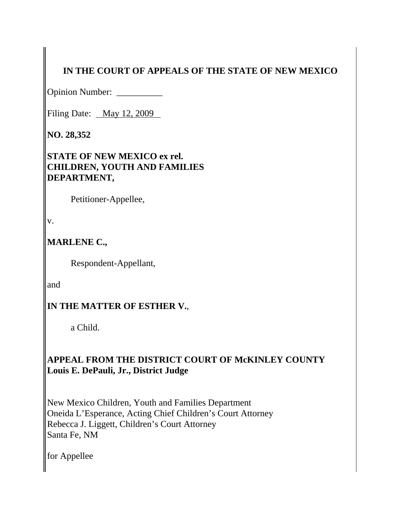# **IN THE COURT OF APPEALS OF THE STATE OF NEW MEXICO**

Opinion Number: \_\_\_\_\_\_\_\_\_\_\_

Filing Date: <u>May 12, 2009</u>

**NO. 28,352**

**STATE OF NEW MEXICO ex rel. CHILDREN, YOUTH AND FAMILIES DEPARTMENT,**

Petitioner-Appellee,

v.

**MARLENE C.,**

Respondent-Appellant,

and

# **IN THE MATTER OF ESTHER V.**,

a Child.

# **APPEAL FROM THE DISTRICT COURT OF McKINLEY COUNTY Louis E. DePauli, Jr., District Judge**

New Mexico Children, Youth and Families Department Oneida L'Esperance, Acting Chief Children's Court Attorney Rebecca J. Liggett, Children's Court Attorney Santa Fe, NM

for Appellee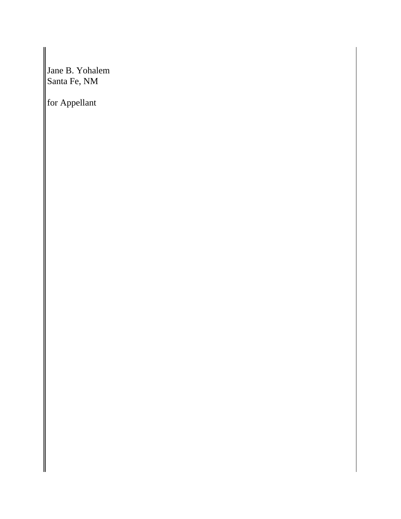Jane B. Yohalem Santa Fe, NM

for Appellant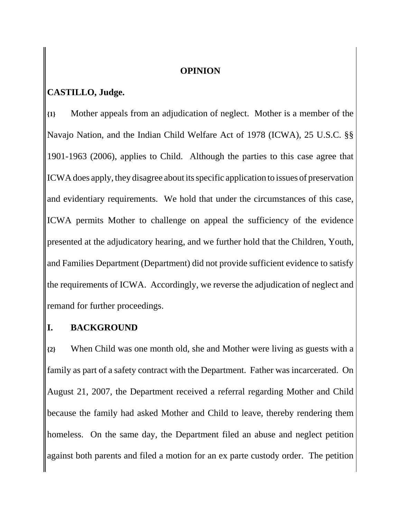#### **OPINION**

#### **CASTILLO, Judge.**

**{1}** Mother appeals from an adjudication of neglect. Mother is a member of the Navajo Nation, and the Indian Child Welfare Act of 1978 (ICWA), 25 U.S.C. §§ 1901-1963 (2006), applies to Child. Although the parties to this case agree that ICWA does apply, they disagree about its specific application to issues of preservation and evidentiary requirements. We hold that under the circumstances of this case, ICWA permits Mother to challenge on appeal the sufficiency of the evidence presented at the adjudicatory hearing, and we further hold that the Children, Youth, and Families Department (Department) did not provide sufficient evidence to satisfy the requirements of ICWA. Accordingly, we reverse the adjudication of neglect and remand for further proceedings.

#### **I. BACKGROUND**

**{2}** When Child was one month old, she and Mother were living as guests with a family as part of a safety contract with the Department. Father was incarcerated. On August 21, 2007, the Department received a referral regarding Mother and Child because the family had asked Mother and Child to leave, thereby rendering them homeless. On the same day, the Department filed an abuse and neglect petition against both parents and filed a motion for an ex parte custody order. The petition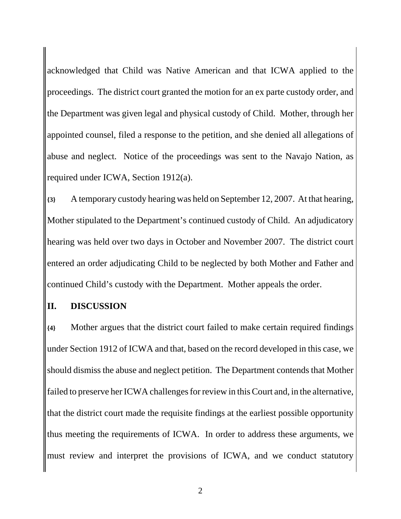acknowledged that Child was Native American and that ICWA applied to the proceedings. The district court granted the motion for an ex parte custody order, and the Department was given legal and physical custody of Child. Mother, through her appointed counsel, filed a response to the petition, and she denied all allegations of abuse and neglect. Notice of the proceedings was sent to the Navajo Nation, as required under ICWA, Section 1912(a).

**{3}** A temporary custody hearing was held on September 12, 2007. At that hearing, Mother stipulated to the Department's continued custody of Child. An adjudicatory hearing was held over two days in October and November 2007. The district court entered an order adjudicating Child to be neglected by both Mother and Father and continued Child's custody with the Department. Mother appeals the order.

#### **II. DISCUSSION**

**{4}** Mother argues that the district court failed to make certain required findings under Section 1912 of ICWA and that, based on the record developed in this case, we should dismiss the abuse and neglect petition. The Department contends that Mother failed to preserve her ICWA challenges for review in this Court and, in the alternative, that the district court made the requisite findings at the earliest possible opportunity thus meeting the requirements of ICWA. In order to address these arguments, we must review and interpret the provisions of ICWA, and we conduct statutory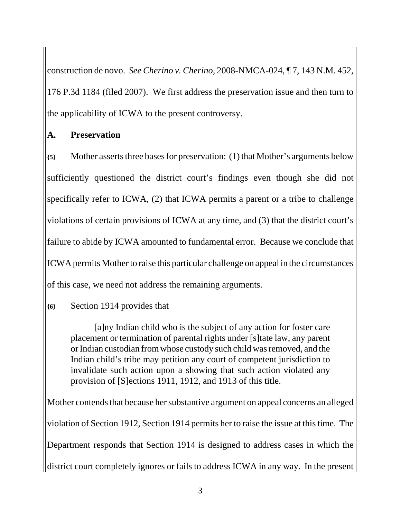construction de novo. *See Cherino v. Cherino*, 2008-NMCA-024, ¶ 7, 143 N.M. 452, 176 P.3d 1184 (filed 2007). We first address the preservation issue and then turn to the applicability of ICWA to the present controversy.

## **A. Preservation**

**{5}** Mother asserts three bases for preservation: (1) that Mother's arguments below sufficiently questioned the district court's findings even though she did not specifically refer to ICWA, (2) that ICWA permits a parent or a tribe to challenge violations of certain provisions of ICWA at any time, and (3) that the district court's failure to abide by ICWA amounted to fundamental error. Because we conclude that ICWA permits Mother to raise this particular challenge on appeal in the circumstances of this case, we need not address the remaining arguments.

## **{6}** Section 1914 provides that

[a]ny Indian child who is the subject of any action for foster care placement or termination of parental rights under [s]tate law, any parent or Indian custodian from whose custody such child was removed, and the Indian child's tribe may petition any court of competent jurisdiction to invalidate such action upon a showing that such action violated any provision of [S]ections 1911, 1912, and 1913 of this title.

Mother contends that because her substantive argument on appeal concerns an alleged violation of Section 1912, Section 1914 permits her to raise the issue at this time. The Department responds that Section 1914 is designed to address cases in which the district court completely ignores or fails to address ICWA in any way. In the present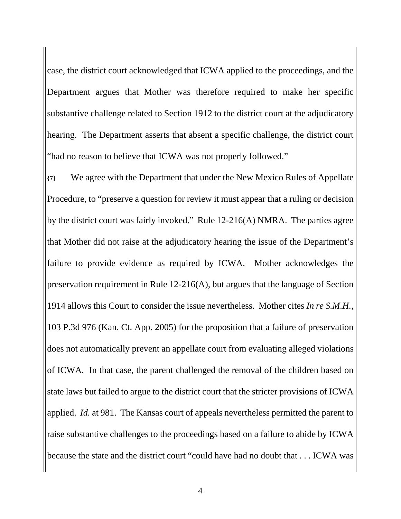case, the district court acknowledged that ICWA applied to the proceedings, and the Department argues that Mother was therefore required to make her specific substantive challenge related to Section 1912 to the district court at the adjudicatory hearing. The Department asserts that absent a specific challenge, the district court "had no reason to believe that ICWA was not properly followed."

**{7}** We agree with the Department that under the New Mexico Rules of Appellate Procedure, to "preserve a question for review it must appear that a ruling or decision by the district court was fairly invoked." Rule 12-216(A) NMRA. The parties agree that Mother did not raise at the adjudicatory hearing the issue of the Department's failure to provide evidence as required by ICWA. Mother acknowledges the preservation requirement in Rule 12-216(A), but argues that the language of Section 1914 allows this Court to consider the issue nevertheless. Mother cites *In re S.M.H.*, 103 P.3d 976 (Kan. Ct. App. 2005) for the proposition that a failure of preservation does not automatically prevent an appellate court from evaluating alleged violations of ICWA. In that case, the parent challenged the removal of the children based on state laws but failed to argue to the district court that the stricter provisions of ICWA applied. *Id.* at 981. The Kansas court of appeals nevertheless permitted the parent to raise substantive challenges to the proceedings based on a failure to abide by ICWA because the state and the district court "could have had no doubt that . . . ICWA was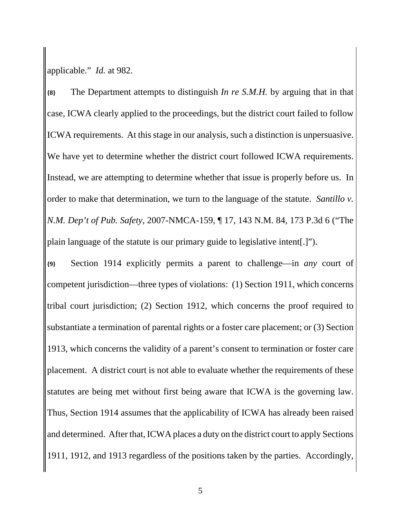#### applicable." *Id.* at 982.

**{8}** The Department attempts to distinguish *In re S.M.H.* by arguing that in that case, ICWA clearly applied to the proceedings, but the district court failed to follow ICWA requirements. At this stage in our analysis, such a distinction is unpersuasive. We have yet to determine whether the district court followed ICWA requirements. Instead, we are attempting to determine whether that issue is properly before us. In order to make that determination, we turn to the language of the statute. *Santillo v. N.M. Dep't of Pub. Safety*, 2007-NMCA-159, ¶ 17, 143 N.M. 84, 173 P.3d 6 ("The plain language of the statute is our primary guide to legislative intent[.]").

**{9}** Section 1914 explicitly permits a parent to challenge—in *any* court of competent jurisdiction—three types of violations: (1) Section 1911, which concerns tribal court jurisdiction; (2) Section 1912, which concerns the proof required to substantiate a termination of parental rights or a foster care placement; or (3) Section 1913, which concerns the validity of a parent's consent to termination or foster care placement. A district court is not able to evaluate whether the requirements of these statutes are being met without first being aware that ICWA is the governing law. Thus, Section 1914 assumes that the applicability of ICWA has already been raised and determined. After that, ICWA places a duty on the district court to apply Sections 1911, 1912, and 1913 regardless of the positions taken by the parties. Accordingly,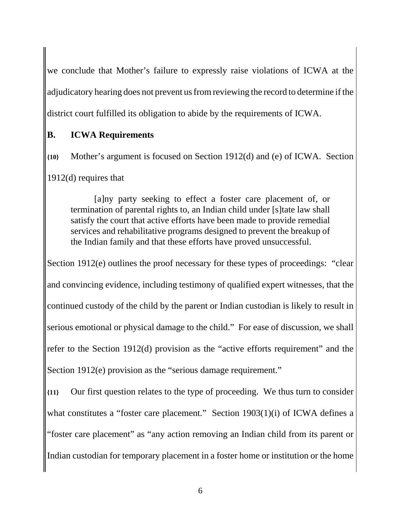we conclude that Mother's failure to expressly raise violations of ICWA at the adjudicatory hearing does not prevent us from reviewing the record to determine if the district court fulfilled its obligation to abide by the requirements of ICWA.

## **B. ICWA Requirements**

**{10}** Mother's argument is focused on Section 1912(d) and (e) of ICWA. Section 1912(d) requires that

[a]ny party seeking to effect a foster care placement of, or termination of parental rights to, an Indian child under [s]tate law shall satisfy the court that active efforts have been made to provide remedial services and rehabilitative programs designed to prevent the breakup of the Indian family and that these efforts have proved unsuccessful.

Section 1912(e) outlines the proof necessary for these types of proceedings: "clear and convincing evidence, including testimony of qualified expert witnesses, that the continued custody of the child by the parent or Indian custodian is likely to result in serious emotional or physical damage to the child." For ease of discussion, we shall refer to the Section 1912(d) provision as the "active efforts requirement" and the Section 1912(e) provision as the "serious damage requirement."

**{11}** Our first question relates to the type of proceeding. We thus turn to consider what constitutes a "foster care placement." Section 1903(1)(i) of ICWA defines a "foster care placement" as "any action removing an Indian child from its parent or Indian custodian for temporary placement in a foster home or institution or the home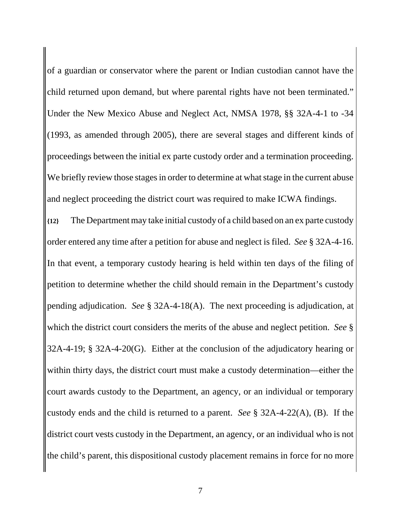of a guardian or conservator where the parent or Indian custodian cannot have the child returned upon demand, but where parental rights have not been terminated." Under the New Mexico Abuse and Neglect Act, NMSA 1978, §§ 32A-4-1 to -34 (1993, as amended through 2005), there are several stages and different kinds of proceedings between the initial ex parte custody order and a termination proceeding. We briefly review those stages in order to determine at what stage in the current abuse and neglect proceeding the district court was required to make ICWA findings.

**{12}** The Department may take initial custody of a child based on an ex parte custody order entered any time after a petition for abuse and neglect is filed. *See* § 32A-4-16. In that event, a temporary custody hearing is held within ten days of the filing of petition to determine whether the child should remain in the Department's custody pending adjudication. *See* § 32A-4-18(A). The next proceeding is adjudication, at which the district court considers the merits of the abuse and neglect petition. *See* § 32A-4-19; § 32A-4-20(G). Either at the conclusion of the adjudicatory hearing or within thirty days, the district court must make a custody determination—either the court awards custody to the Department, an agency, or an individual or temporary custody ends and the child is returned to a parent. *See* § 32A-4-22(A), (B). If the district court vests custody in the Department, an agency, or an individual who is not the child's parent, this dispositional custody placement remains in force for no more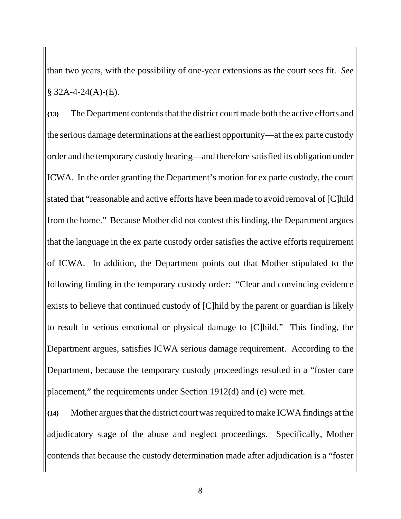than two years, with the possibility of one-year extensions as the court sees fit. *See*  $§$  32A-4-24(A)-(E).

**{13}** The Department contends that the district court made both the active efforts and the serious damage determinations at the earliest opportunity—at the ex parte custody order and the temporary custody hearing—and therefore satisfied its obligation under ICWA. In the order granting the Department's motion for ex parte custody, the court stated that "reasonable and active efforts have been made to avoid removal of [C]hild from the home." Because Mother did not contest this finding, the Department argues that the language in the ex parte custody order satisfies the active efforts requirement of ICWA. In addition, the Department points out that Mother stipulated to the following finding in the temporary custody order: "Clear and convincing evidence exists to believe that continued custody of [C]hild by the parent or guardian is likely to result in serious emotional or physical damage to [C]hild." This finding, the Department argues, satisfies ICWA serious damage requirement. According to the Department, because the temporary custody proceedings resulted in a "foster care placement," the requirements under Section 1912(d) and (e) were met.

**{14}** Mother argues that the district court was required to make ICWA findings at the adjudicatory stage of the abuse and neglect proceedings. Specifically, Mother contends that because the custody determination made after adjudication is a "foster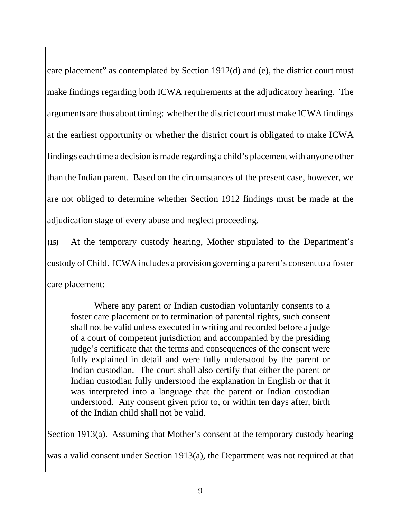care placement" as contemplated by Section 1912(d) and (e), the district court must make findings regarding both ICWA requirements at the adjudicatory hearing. The arguments are thus about timing: whether the district court must make ICWA findings at the earliest opportunity or whether the district court is obligated to make ICWA findings each time a decision is made regarding a child's placement with anyone other than the Indian parent. Based on the circumstances of the present case, however, we are not obliged to determine whether Section 1912 findings must be made at the adjudication stage of every abuse and neglect proceeding.

**{15}** At the temporary custody hearing, Mother stipulated to the Department's custody of Child. ICWA includes a provision governing a parent's consent to a foster care placement:

Where any parent or Indian custodian voluntarily consents to a foster care placement or to termination of parental rights, such consent shall not be valid unless executed in writing and recorded before a judge of a court of competent jurisdiction and accompanied by the presiding judge's certificate that the terms and consequences of the consent were fully explained in detail and were fully understood by the parent or Indian custodian. The court shall also certify that either the parent or Indian custodian fully understood the explanation in English or that it was interpreted into a language that the parent or Indian custodian understood. Any consent given prior to, or within ten days after, birth of the Indian child shall not be valid.

Section 1913(a). Assuming that Mother's consent at the temporary custody hearing

was a valid consent under Section 1913(a), the Department was not required at that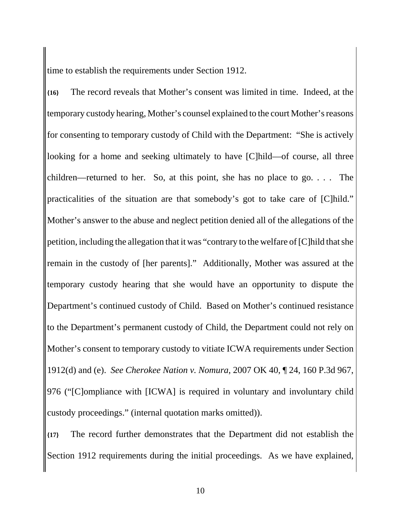time to establish the requirements under Section 1912.

**{16}** The record reveals that Mother's consent was limited in time. Indeed, at the temporary custody hearing, Mother's counsel explained to the court Mother's reasons for consenting to temporary custody of Child with the Department: "She is actively looking for a home and seeking ultimately to have [C]hild—of course, all three children—returned to her. So, at this point, she has no place to go.  $\ldots$  The practicalities of the situation are that somebody's got to take care of [C]hild." Mother's answer to the abuse and neglect petition denied all of the allegations of the petition, including the allegation that it was "contrary to the welfare of [C]hild that she remain in the custody of [her parents]." Additionally, Mother was assured at the temporary custody hearing that she would have an opportunity to dispute the Department's continued custody of Child. Based on Mother's continued resistance to the Department's permanent custody of Child, the Department could not rely on Mother's consent to temporary custody to vitiate ICWA requirements under Section 1912(d) and (e). *See Cherokee Nation v. Nomura*, 2007 OK 40, ¶ 24, 160 P.3d 967, 976 ("[C]ompliance with [ICWA] is required in voluntary and involuntary child custody proceedings." (internal quotation marks omitted)).

**{17}** The record further demonstrates that the Department did not establish the Section 1912 requirements during the initial proceedings. As we have explained,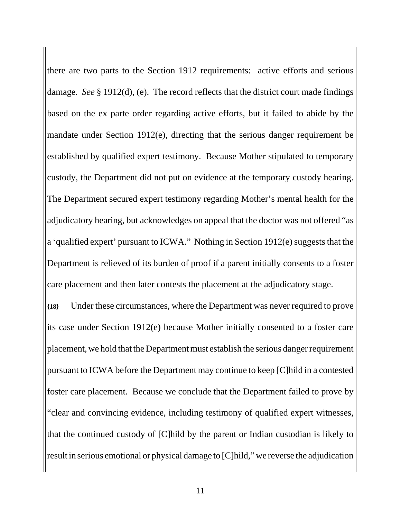there are two parts to the Section 1912 requirements: active efforts and serious damage. *See* § 1912(d), (e). The record reflects that the district court made findings based on the ex parte order regarding active efforts, but it failed to abide by the mandate under Section 1912(e), directing that the serious danger requirement be established by qualified expert testimony. Because Mother stipulated to temporary custody, the Department did not put on evidence at the temporary custody hearing. The Department secured expert testimony regarding Mother's mental health for the adjudicatory hearing, but acknowledges on appeal that the doctor was not offered "as a 'qualified expert' pursuant to ICWA." Nothing in Section 1912(e) suggests that the Department is relieved of its burden of proof if a parent initially consents to a foster care placement and then later contests the placement at the adjudicatory stage.

**{18}** Under these circumstances, where the Department was never required to prove its case under Section 1912(e) because Mother initially consented to a foster care placement, we hold that the Department must establish the serious danger requirement pursuant to ICWA before the Department may continue to keep [C]hild in a contested foster care placement. Because we conclude that the Department failed to prove by "clear and convincing evidence, including testimony of qualified expert witnesses, that the continued custody of [C]hild by the parent or Indian custodian is likely to result in serious emotional or physical damage to [C]hild," we reverse the adjudication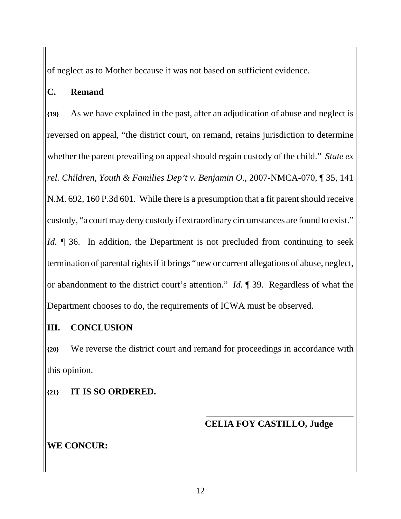of neglect as to Mother because it was not based on sufficient evidence.

#### **C. Remand**

**{19}** As we have explained in the past, after an adjudication of abuse and neglect is reversed on appeal, "the district court, on remand, retains jurisdiction to determine whether the parent prevailing on appeal should regain custody of the child." *State ex rel. Children, Youth & Families Dep't v. Benjamin O.*, 2007-NMCA-070, ¶ 35, 141 N.M. 692, 160 P.3d 601. While there is a presumption that a fit parent should receive custody, "a court may deny custody if extraordinary circumstances are found to exist." *Id.* 136. In addition, the Department is not precluded from continuing to seek termination of parental rights if it brings "new or current allegations of abuse, neglect, or abandonment to the district court's attention." *Id.* ¶ 39. Regardless of what the Department chooses to do, the requirements of ICWA must be observed.

## **III. CONCLUSION**

**{20}** We reverse the district court and remand for proceedings in accordance with this opinion.

## **{21} IT IS SO ORDERED.**

#### **CELIA FOY CASTILLO, Judge**

**\_\_\_\_\_\_\_\_\_\_\_\_\_\_\_\_\_\_\_\_\_\_\_\_\_\_\_\_\_\_\_\_**

## **WE CONCUR:**